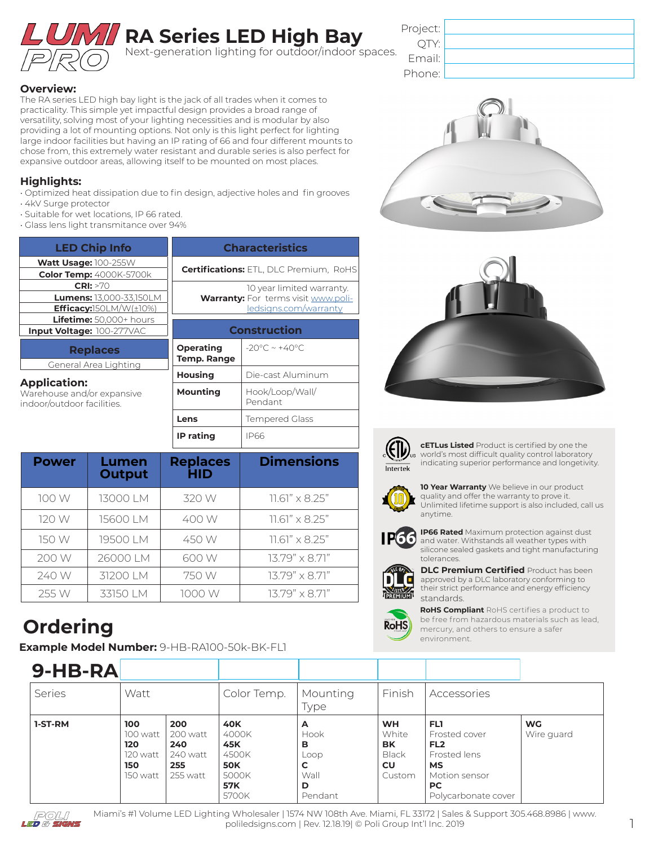

## **RA Series LED High Bay**

Next-generation lighting for outdoor/indoor spaces.

| Project: |  |
|----------|--|
| OTY:     |  |
| Email:   |  |
| Phone:   |  |

#### **Overview:**

The RA series LED high bay light is the jack of all trades when it comes to practicality. This simple yet impactful design provides a broad range of versatility, solving most of your lighting necessities and is modular by also providing a lot of mounting options. Not only is this light perfect for lighting large indoor facilities but having an IP rating of 66 and four different mounts to chose from, this extremely water resistant and durable series is also perfect for expansive outdoor areas, allowing itself to be mounted on most places.

#### **Highlights:**

- Optimized heat dissipation due to fin design, adjective holes and fin grooves • 4kV Surge protector
- Suitable for wet locations, IP 66 rated.
- Glass lens light transmitance over 94%

| <b>LED Chip Info</b>                                                            | <b>Characteristics</b>                                                     |                                   |  |
|---------------------------------------------------------------------------------|----------------------------------------------------------------------------|-----------------------------------|--|
|                                                                                 |                                                                            |                                   |  |
| Watt Usage: 100-255W                                                            | <b>Certifications: ETL, DLC Premium, RoHS</b>                              |                                   |  |
| <b>Color Temp:</b> 4000K-5700k                                                  |                                                                            |                                   |  |
| CRI: >70                                                                        |                                                                            | 10 year limited warranty.         |  |
| <b>Lumens: 13,000-33,150LM</b>                                                  | <b>Warranty:</b> For terms visit www.poli-<br><u>ledsigns.com/warranty</u> |                                   |  |
| Efficacy: $150LM/W(\pm 10\%)$                                                   |                                                                            |                                   |  |
| Lifetime: 50,000+ hours                                                         |                                                                            |                                   |  |
| Input Voltage: 100-277VAC                                                       | <b>Construction</b>                                                        |                                   |  |
| <b>Replaces</b>                                                                 | <b>Operating</b>                                                           | $-20^{\circ}$ C ~ $+40^{\circ}$ C |  |
| General Area Lighting                                                           | <b>Temp. Range</b>                                                         |                                   |  |
|                                                                                 | <b>Housing</b>                                                             | Die-cast Aluminum                 |  |
| <b>Application:</b><br>Warehouse and/or expansive<br>indoor/outdoor facilities. | Mounting                                                                   | Hook/Loop/Wall/<br>Pendant        |  |
|                                                                                 | Lens                                                                       | <b>Tempered Glass</b>             |  |
|                                                                                 | <b>IP</b> rating                                                           | IP66                              |  |

| <b>Power</b> | Lumen<br><b>Output</b> | <b>Replaces</b><br><b>HID</b> | <b>Dimensions</b>       |
|--------------|------------------------|-------------------------------|-------------------------|
| 100 W        | 13000 LM               | 320 W                         | $11.61'' \times 8.25''$ |
| 120 W        | 15600 LM               | 400 W                         | $11.61" \times 8.25"$   |
| 150 W        | 19500 LM               | 450 W                         | $11.61" \times 8.25"$   |
| 200 W        | 26000 LM               | 600 W                         | $13.79" \times 8.71"$   |
| 240 W        | 31200 LM               | 750 W                         | $13.79'' \times 8.71''$ |
| 255 W        | 33150 LM               | 1000 W                        | $13.79'' \times 8.71''$ |

## **Ordering**

**Example Model Number:** 9-HB-RA100-50k-BK-FL1







**cETLus Listed** Product is certified by one the world's most difficult quality control laboratory indicating superior performance and longetivity.



**10 Year Warranty** We believe in our product quality and offer the warranty to prove it. Unlimited lifetime support is also included, call us anytime.



**IP66 Rated** Maximum protection against dust and water. Withstands all weather types with silicone sealed gaskets and tight manufacturing tolerances.



**DLC Premium Certified** Product has been approved by a DLC laboratory conforming to their strict performance and energy efficiency standards.



**RoHS Compliant** RoHS certifies a product to be free from hazardous materials such as lead, mercury, and others to ensure a safer environment.

| $9-HB-RA$ |                                                       |                                                       |                                                                                   |                                                     |                                                                 |                                                                                                                           |                         |
|-----------|-------------------------------------------------------|-------------------------------------------------------|-----------------------------------------------------------------------------------|-----------------------------------------------------|-----------------------------------------------------------------|---------------------------------------------------------------------------------------------------------------------------|-------------------------|
| Series    | Watt                                                  |                                                       | Color Temp.                                                                       | Mounting<br>Type                                    | Finish                                                          | Accessories                                                                                                               |                         |
| 1-ST-RM   | 100<br>100 watt<br>120<br>120 watt<br>150<br>150 watt | 200<br>200 watt<br>240<br>240 watt<br>255<br>255 watt | <b>40K</b><br>4000K<br>45K<br>4500K<br><b>50K</b><br>5000K<br><b>57K</b><br>5700K | A<br>Hook<br>в<br>Loop<br>C<br>Wall<br>D<br>Pendant | <b>WH</b><br>White<br><b>BK</b><br><b>Black</b><br>CU<br>Custom | FL1<br>Frosted cover<br>FL <sub>2</sub><br>Frosted lens<br><b>MS</b><br>Motion sensor<br><b>PC</b><br>Polycarbonate cover | <b>WG</b><br>Wire guard |